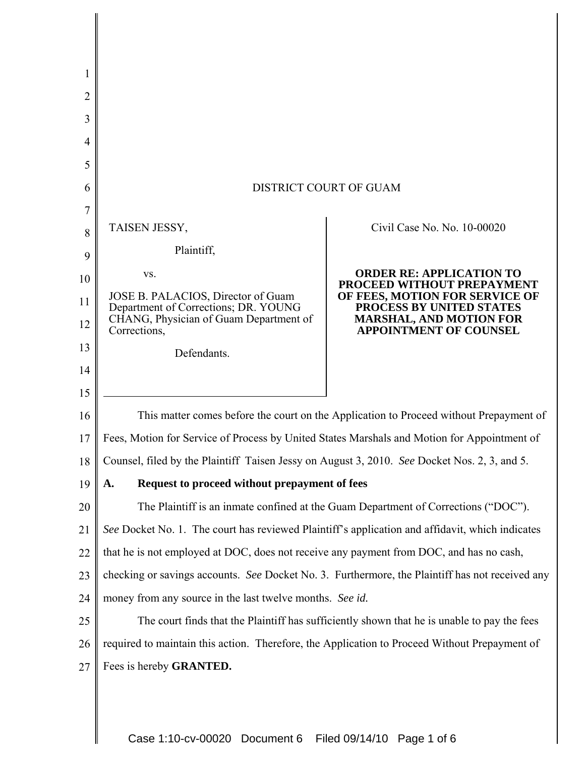| 1  |                                                                                                 |                                                                 |
|----|-------------------------------------------------------------------------------------------------|-----------------------------------------------------------------|
| 2  |                                                                                                 |                                                                 |
| 3  |                                                                                                 |                                                                 |
| 4  |                                                                                                 |                                                                 |
| 5  |                                                                                                 |                                                                 |
| 6  | <b>DISTRICT COURT OF GUAM</b>                                                                   |                                                                 |
| 7  |                                                                                                 |                                                                 |
| 8  | TAISEN JESSY,                                                                                   | Civil Case No. No. 10-00020                                     |
| 9  | Plaintiff,                                                                                      |                                                                 |
| 10 | VS.                                                                                             | <b>ORDER RE: APPLICATION TO</b><br>PROCEED WITHOUT PREPAYMENT   |
| 11 | JOSE B. PALACIOS, Director of Guam<br>Department of Corrections; DR. YOUNG                      | OF FEES, MOTION FOR SERVICE OF<br>PROCESS BY UNITED STATES      |
| 12 | CHANG, Physician of Guam Department of<br>Corrections,                                          | <b>MARSHAL, AND MOTION FOR</b><br><b>APPOINTMENT OF COUNSEL</b> |
| 13 | Defendants.                                                                                     |                                                                 |
| 14 |                                                                                                 |                                                                 |
| 15 |                                                                                                 |                                                                 |
| 16 | This matter comes before the court on the Application to Proceed without Prepayment of          |                                                                 |
| 17 | Fees, Motion for Service of Process by United States Marshals and Motion for Appointment of     |                                                                 |
| 18 | Counsel, filed by the Plaintiff Taisen Jessy on August 3, 2010. See Docket Nos. 2, 3, and 5.    |                                                                 |
| 19 | Request to proceed without prepayment of fees<br>A.                                             |                                                                 |
| 20 | The Plaintiff is an inmate confined at the Guam Department of Corrections ("DOC").              |                                                                 |
| 21 | See Docket No. 1. The court has reviewed Plaintiff's application and affidavit, which indicates |                                                                 |
| 22 | that he is not employed at DOC, does not receive any payment from DOC, and has no cash,         |                                                                 |
| 23 | checking or savings accounts. See Docket No. 3. Furthermore, the Plaintiff has not received any |                                                                 |
| 24 | money from any source in the last twelve months. See id.                                        |                                                                 |
| 25 | The court finds that the Plaintiff has sufficiently shown that he is unable to pay the fees     |                                                                 |
| 26 | required to maintain this action. Therefore, the Application to Proceed Without Prepayment of   |                                                                 |
| 27 | Fees is hereby GRANTED.                                                                         |                                                                 |
|    |                                                                                                 |                                                                 |
|    |                                                                                                 |                                                                 |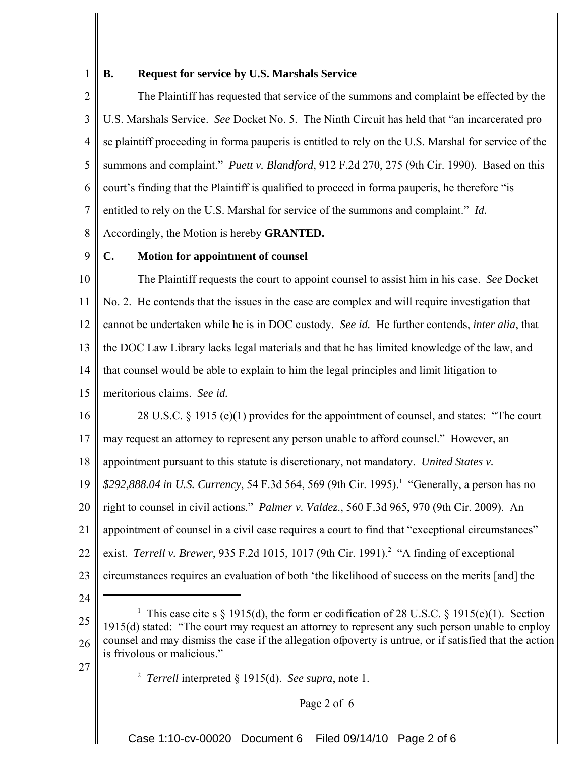1

## **B. Request for service by U.S. Marshals Service**

2 3 4 5 6 7 8 The Plaintiff has requested that service of the summons and complaint be effected by the U.S. Marshals Service. *See* Docket No. 5. The Ninth Circuit has held that "an incarcerated pro se plaintiff proceeding in forma pauperis is entitled to rely on the U.S. Marshal for service of the summons and complaint." *Puett v. Blandford*, 912 F.2d 270, 275 (9th Cir. 1990). Based on this court's finding that the Plaintiff is qualified to proceed in forma pauperis, he therefore "is entitled to rely on the U.S. Marshal for service of the summons and complaint." *Id.* Accordingly, the Motion is hereby **GRANTED.**

9

## **C. Motion for appointment of counsel**

10 11 12 13 14 The Plaintiff requests the court to appoint counsel to assist him in his case. *See* Docket No. 2. He contends that the issues in the case are complex and will require investigation that cannot be undertaken while he is in DOC custody. *See id.* He further contends, *inter alia*, that the DOC Law Library lacks legal materials and that he has limited knowledge of the law, and that counsel would be able to explain to him the legal principles and limit litigation to

- 15 meritorious claims. *See id.*
- 16 28 U.S.C. § 1915 (e)(1) provides for the appointment of counsel, and states: "The court
- 17 may request an attorney to represent any person unable to afford counsel." However, an
- 18 appointment pursuant to this statute is discretionary, not mandatory. *United States v.*
- 19 \$292,888.04 in U.S. Currency, 54 F.3d 564, 569 (9th Cir. 1995).<sup>1</sup> "Generally, a person has no
- 20 right to counsel in civil actions." *Palmer v. Valdez*., 560 F.3d 965, 970 (9th Cir. 2009). An
- 21 appointment of counsel in a civil case requires a court to find that "exceptional circumstances"
- 22 exist. *Terrell v. Brewer*, 935 F.2d 1015, 1017 (9th Cir. 1991).<sup>2</sup> "A finding of exceptional
- 23 circumstances requires an evaluation of both 'the likelihood of success on the merits [and] the
- 24

27

<sup>25</sup> 26 <sup>1</sup> This case cite s  $\S$  1915(d), the form er codification of 28 U.S.C.  $\S$  1915(e)(1). Section 1915(d) stated: "The court may request an attorney to represent any such person unable to employ counsel and may dismiss the case if the allegation of poverty is untrue, or if satisfied that the action is frivolous or malicious."

<sup>2</sup> *Terrell* interpreted § 1915(d). *See supra*, note 1.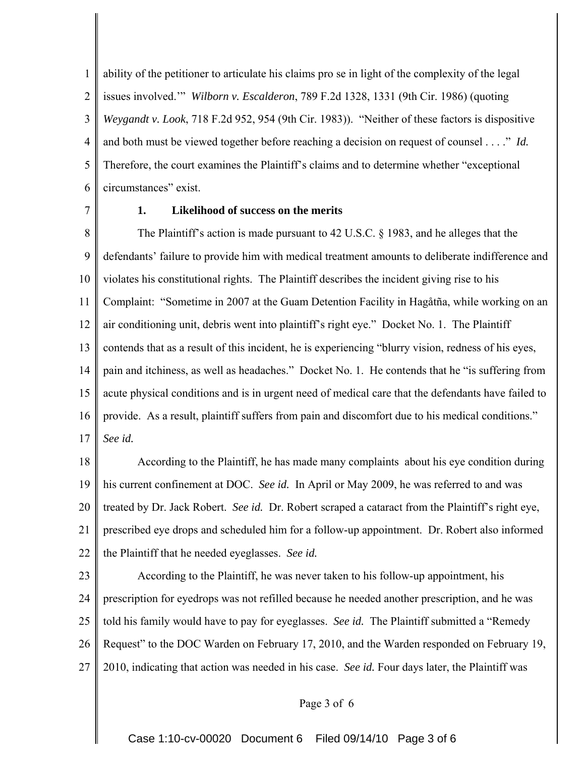1 2 3 4 5 6 ability of the petitioner to articulate his claims pro se in light of the complexity of the legal issues involved.'" *Wilborn v. Escalderon*, 789 F.2d 1328, 1331 (9th Cir. 1986) (quoting *Weygandt v. Look*, 718 F.2d 952, 954 (9th Cir. 1983)). "Neither of these factors is dispositive and both must be viewed together before reaching a decision on request of counsel . . . ." *Id.*  Therefore, the court examines the Plaintiff's claims and to determine whether "exceptional circumstances" exist.

7

# **1. Likelihood of success on the merits**

8 9 10 11 12 13 14 15 16 17 The Plaintiff's action is made pursuant to 42 U.S.C. § 1983, and he alleges that the defendants' failure to provide him with medical treatment amounts to deliberate indifference and violates his constitutional rights. The Plaintiff describes the incident giving rise to his Complaint: "Sometime in 2007 at the Guam Detention Facility in Hagåtña, while working on an air conditioning unit, debris went into plaintiff's right eye." Docket No. 1. The Plaintiff contends that as a result of this incident, he is experiencing "blurry vision, redness of his eyes, pain and itchiness, as well as headaches." Docket No. 1. He contends that he "is suffering from acute physical conditions and is in urgent need of medical care that the defendants have failed to provide. As a result, plaintiff suffers from pain and discomfort due to his medical conditions." *See id.*

18 19 20 21 22 According to the Plaintiff, he has made many complaints about his eye condition during his current confinement at DOC. *See id.* In April or May 2009, he was referred to and was treated by Dr. Jack Robert. *See id.* Dr. Robert scraped a cataract from the Plaintiff's right eye, prescribed eye drops and scheduled him for a follow-up appointment. Dr. Robert also informed the Plaintiff that he needed eyeglasses. *See id.*

23 24 25 26 27 According to the Plaintiff, he was never taken to his follow-up appointment, his prescription for eyedrops was not refilled because he needed another prescription, and he was told his family would have to pay for eyeglasses. *See id.* The Plaintiff submitted a "Remedy Request" to the DOC Warden on February 17, 2010, and the Warden responded on February 19, 2010, indicating that action was needed in his case. *See id.* Four days later, the Plaintiff was

Page 3 of 6

Case 1:10-cv-00020 Document 6 Filed 09/14/10 Page 3 of 6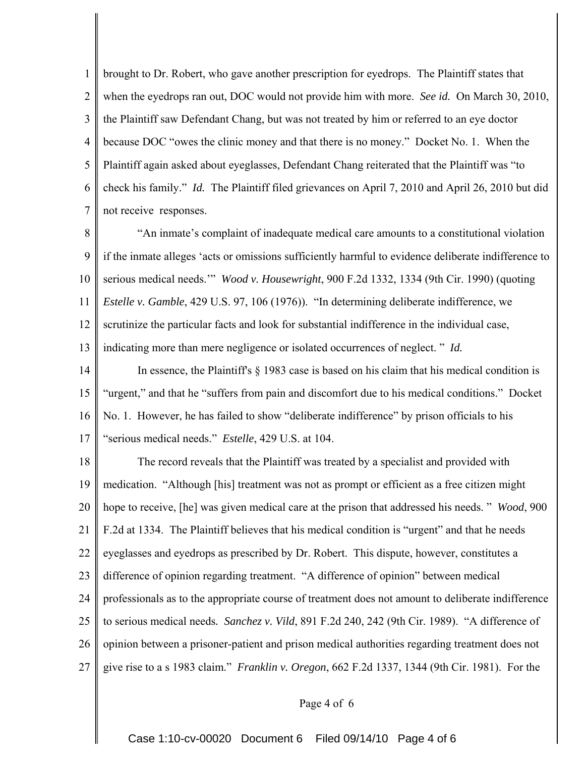1 2 3 4 5 6 7 brought to Dr. Robert, who gave another prescription for eyedrops. The Plaintiff states that when the eyedrops ran out, DOC would not provide him with more. *See id.* On March 30, 2010, the Plaintiff saw Defendant Chang, but was not treated by him or referred to an eye doctor because DOC "owes the clinic money and that there is no money." Docket No. 1. When the Plaintiff again asked about eyeglasses, Defendant Chang reiterated that the Plaintiff was "to check his family." *Id.* The Plaintiff filed grievances on April 7, 2010 and April 26, 2010 but did not receive responses.

8 9 10 11 12 13 "An inmate's complaint of inadequate medical care amounts to a constitutional violation if the inmate alleges 'acts or omissions sufficiently harmful to evidence deliberate indifference to serious medical needs.'" *Wood v. Housewright*, 900 F.2d 1332, 1334 (9th Cir. 1990) (quoting *Estelle v. Gamble*, 429 U.S. 97, 106 (1976)). "In determining deliberate indifference, we scrutinize the particular facts and look for substantial indifference in the individual case, indicating more than mere negligence or isolated occurrences of neglect. " *Id.*

14 15 16 17 In essence, the Plaintiff's  $\S$  1983 case is based on his claim that his medical condition is "urgent," and that he "suffers from pain and discomfort due to his medical conditions." Docket No. 1. However, he has failed to show "deliberate indifference" by prison officials to his "serious medical needs." *Estelle*, 429 U.S. at 104.

18 19 20 21 22 23 24 25 26 27 The record reveals that the Plaintiff was treated by a specialist and provided with medication. "Although [his] treatment was not as prompt or efficient as a free citizen might hope to receive, [he] was given medical care at the prison that addressed his needs. " *Wood*, 900 F.2d at 1334. The Plaintiff believes that his medical condition is "urgent" and that he needs eyeglasses and eyedrops as prescribed by Dr. Robert. This dispute, however, constitutes a difference of opinion regarding treatment. "A difference of opinion" between medical professionals as to the appropriate course of treatment does not amount to deliberate indifference to serious medical needs*. Sanchez v. Vild*, 891 F.2d 240, 242 (9th Cir. 1989). "A difference of opinion between a prisoner-patient and prison medical authorities regarding treatment does not give rise to a s 1983 claim." *Franklin v. Oregon*, 662 F.2d 1337, 1344 (9th Cir. 1981). For the

#### Page 4 of 6

Case 1:10-cv-00020 Document 6 Filed 09/14/10 Page 4 of 6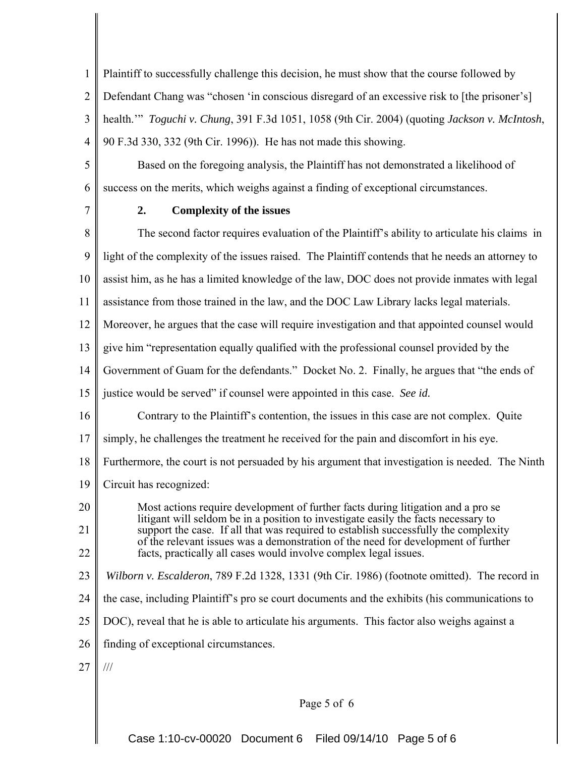1 2 3 4 Plaintiff to successfully challenge this decision, he must show that the course followed by Defendant Chang was "chosen 'in conscious disregard of an excessive risk to [the prisoner's] health.'" *Toguchi v. Chung*, 391 F.3d 1051, 1058 (9th Cir. 2004) (quoting *Jackson v. McIntosh*, 90 F.3d 330, 332 (9th Cir. 1996)). He has not made this showing.

5 6 Based on the foregoing analysis, the Plaintiff has not demonstrated a likelihood of success on the merits, which weighs against a finding of exceptional circumstances.

7

# **2. Complexity of the issues**

8 9 10 11 12 13 14 15 16 17 18 19 20 21 22 23 24 25 26 27 The second factor requires evaluation of the Plaintiff's ability to articulate his claims in light of the complexity of the issues raised. The Plaintiff contends that he needs an attorney to assist him, as he has a limited knowledge of the law, DOC does not provide inmates with legal assistance from those trained in the law, and the DOC Law Library lacks legal materials. Moreover, he argues that the case will require investigation and that appointed counsel would give him "representation equally qualified with the professional counsel provided by the Government of Guam for the defendants." Docket No. 2. Finally, he argues that "the ends of justice would be served" if counsel were appointed in this case. *See id.* Contrary to the Plaintiff's contention, the issues in this case are not complex. Quite simply, he challenges the treatment he received for the pain and discomfort in his eye. Furthermore, the court is not persuaded by his argument that investigation is needed. The Ninth Circuit has recognized: Most actions require development of further facts during litigation and a pro se litigant will seldom be in a position to investigate easily the facts necessary to support the case. If all that was required to establish successfully the complexity of the relevant issues was a demonstration of the need for development of further facts, practically all cases would involve complex legal issues. *Wilborn v. Escalderon*, 789 F.2d 1328, 1331 (9th Cir. 1986) (footnote omitted). The record in the case, including Plaintiff's pro se court documents and the exhibits (his communications to DOC), reveal that he is able to articulate his arguments. This factor also weighs against a finding of exceptional circumstances. ///

### Page 5 of 6

Case 1:10-cv-00020 Document 6 Filed 09/14/10 Page 5 of 6